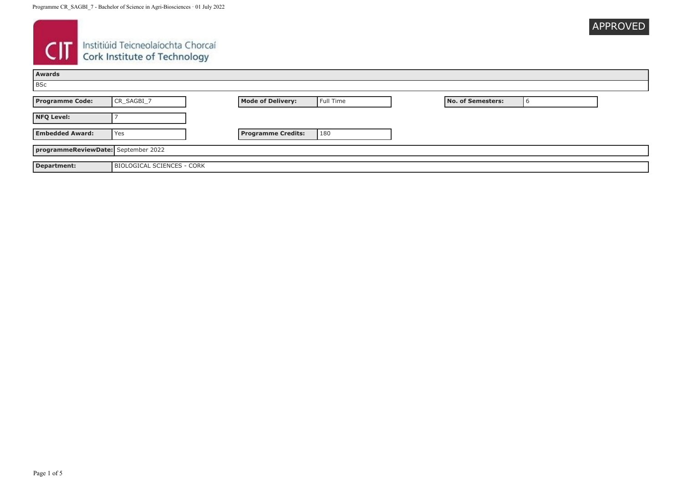| <b>APPROVED</b> |
|-----------------|
|                 |

# **CIT** Instituid Teicneolaíochta Chorcaí

| <b>Awards</b>                       |                            |                           |           |                   |   |  |
|-------------------------------------|----------------------------|---------------------------|-----------|-------------------|---|--|
| <b>BSc</b>                          |                            |                           |           |                   |   |  |
| <b>Programme Code:</b>              | CR_SAGBI_7                 | <b>Mode of Delivery:</b>  | Full Time | No. of Semesters: | O |  |
| <b>NFQ Level:</b>                   |                            |                           |           |                   |   |  |
| <b>Embedded Award:</b>              | l Yes                      | <b>Programme Credits:</b> | 180       |                   |   |  |
| programmeReviewDate: September 2022 |                            |                           |           |                   |   |  |
| Department:                         | BIOLOGICAL SCIENCES - CORK |                           |           |                   |   |  |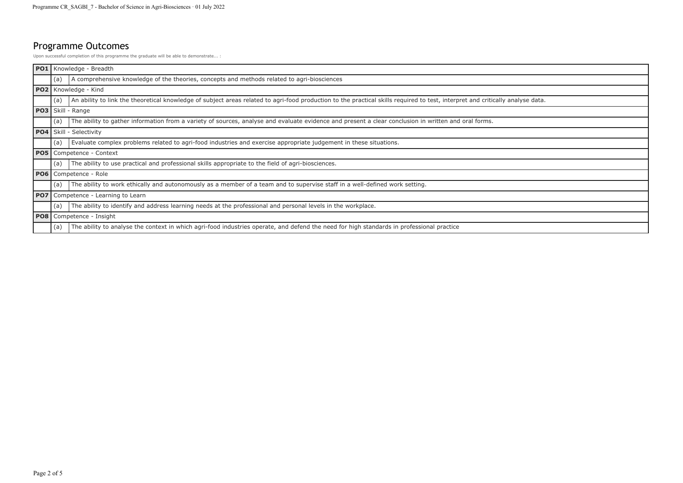## Programme Outcomes

Upon successful completion of this programme the graduate will be able to demonstrate... :

|                 |                        | <b>PO1</b> Knowledge - Breadth                                                                                                                                                 |
|-----------------|------------------------|--------------------------------------------------------------------------------------------------------------------------------------------------------------------------------|
|                 | (a)                    | A comprehensive knowledge of the theories, concepts and methods related to agri-biosciences                                                                                    |
|                 | PO2   Knowledge - Kind |                                                                                                                                                                                |
|                 | (a)                    | An ability to link the theoretical knowledge of subject areas related to agri-food production to the practical skills required to test, interpret and critically analyse data. |
|                 |                        | <b>PO3</b> Skill - Range                                                                                                                                                       |
|                 | (a)                    | The ability to gather information from a variety of sources, analyse and evaluate evidence and present a clear conclusion in written and oral forms.                           |
|                 |                        | <b>PO4</b> Skill - Selectivity                                                                                                                                                 |
|                 | ' (a)                  | Evaluate complex problems related to agri-food industries and exercise appropriate judgement in these situations.                                                              |
| <b>PO5</b>      |                        | Competence - Context                                                                                                                                                           |
|                 | (a)                    | The ability to use practical and professional skills appropriate to the field of agri-biosciences.                                                                             |
| <b>PO6</b>      |                        | Competence - Role                                                                                                                                                              |
|                 | (a)                    | The ability to work ethically and autonomously as a member of a team and to supervise staff in a well-defined work setting.                                                    |
| PO <sub>7</sub> |                        | Competence - Learning to Learn                                                                                                                                                 |
|                 | (a)                    | The ability to identify and address learning needs at the professional and personal levels in the workplace.                                                                   |
| PO <sub>8</sub> |                        | Competence - Insight                                                                                                                                                           |
|                 | (a)                    | The ability to analyse the context in which agri-food industries operate, and defend the need for high standards in professional practice                                      |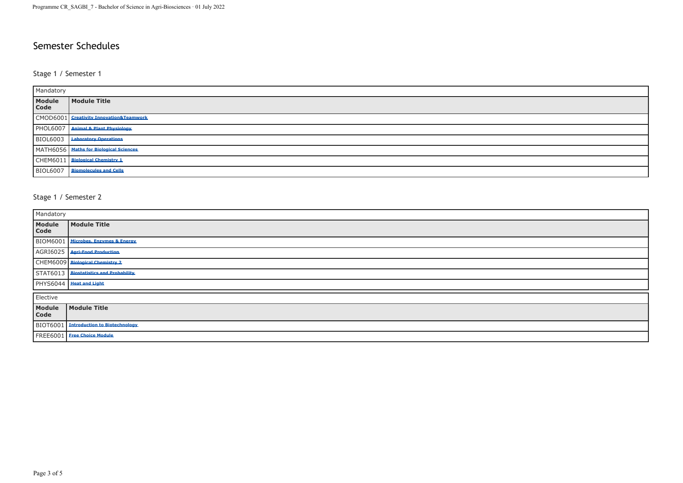### Semester Schedules

#### Stage 1 / Semester 1

| Mandatory       |                                         |  |
|-----------------|-----------------------------------------|--|
| Module<br>Code  | Module Title                            |  |
|                 | CMOD6001 Creativity Innovation&Teamwork |  |
|                 | PHOL6007 Animal & Plant Physiology      |  |
| <b>BIOL6003</b> | <b>Laboratory Operations</b>            |  |
|                 | MATH6056 Maths for Biological Sciences  |  |
|                 | CHEM6011 Biological Chemistry 1         |  |
| <b>BIOL6007</b> | <b>Biomolecules and Cells</b>           |  |

#### Stage 1 / Semester 2

| Mandatory      |                                               |  |
|----------------|-----------------------------------------------|--|
| Module<br>Code | Module Title                                  |  |
|                | BIOM6001 Microbes, Enzymes & Energy           |  |
|                | AGRI6025   Agri-Food Production               |  |
|                | CHEM6009 Biological Chemistry 2               |  |
|                | STAT6013 Biostatistics and Probability        |  |
|                | PHYS6044   Heat and Light                     |  |
| Elective       |                                               |  |
| Module<br>Code | Module Title                                  |  |
|                | <b>BIOT6001</b> Introduction to Biotechnology |  |
|                | FREE6001 Free Choice Module                   |  |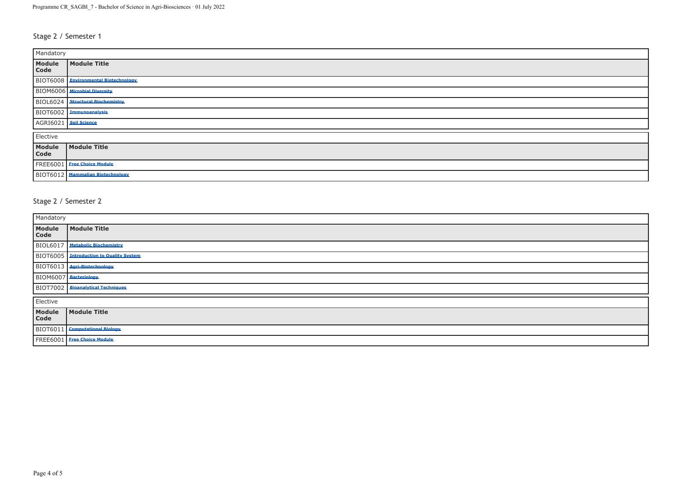#### Stage 2 / Semester 1

| Mandatory               |                                      |  |  |
|-------------------------|--------------------------------------|--|--|
| Module<br>Code          | <b>Module Title</b>                  |  |  |
|                         | BIOT6008 Environmental Biotechnology |  |  |
|                         | BIOM6006 Microbial Diversity         |  |  |
|                         | BIOL6024 Structural Biochemistry     |  |  |
|                         | BIOT6002 Immunoanalysis              |  |  |
| AGRI6021   Soil Science |                                      |  |  |
| Elective                |                                      |  |  |
| Module<br>Code          | Module Title                         |  |  |
|                         | FREE6001 Eree Choice Module          |  |  |
|                         | BIOT6012 Mammalian Biotechnology     |  |  |

#### Stage 2 / Semester 2

| Mandatory |                                                |  |
|-----------|------------------------------------------------|--|
|           | Module Module Title                            |  |
|           | BIOL6017 Metabolic Biochemistry                |  |
|           | <b>BIOT6005</b> Introduction to Quality System |  |
|           | BIOT6013 Agri-Biotechnology                    |  |
|           | BIOM6007 Bacteriology                          |  |
|           | BIOT7002 Bioanalytical Techniques              |  |
| Elective  |                                                |  |
|           | Module Module Title                            |  |
|           | BIOT6011 Computational Biology                 |  |
|           | FREE6001 Free Choice Module                    |  |